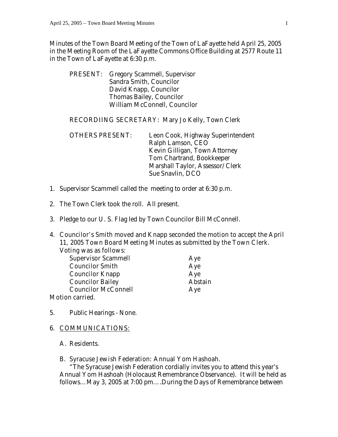Minutes of the Town Board Meeting of the Town of LaFayette held April 25, 2005 in the Meeting Room of the LaFayette Commons Office Building at 2577 Route 11 in the Town of LaFayette at 6:30 p.m.

 PRESENT: Gregory Scammell, Supervisor Sandra Smith, Councilor David Knapp, Councilor Thomas Bailey, Councilor William McConnell, Councilor

#### RECORDIING SECRETARY: Mary Jo Kelly, Town Clerk

 OTHERS PRESENT: Leon Cook, Highway Superintendent Ralph Lamson, CEO Kevin Gilligan, Town Attorney Tom Chartrand, Bookkeeper Marshall Taylor, Assessor/Clerk Sue Snavlin, DCO

- 1. Supervisor Scammell called the meeting to order at 6:30 p.m.
- 2. The Town Clerk took the roll. All present.
- 3. Pledge to our U. S. Flag led by Town Councilor Bill McConnell.
- 4. Councilor's Smith moved and Knapp seconded the motion to accept the April 11, 2005 Town Board Meeting Minutes as submitted by the Town Clerk. Voting was as follows:

Supervisor Scammell Aye Councilor Smith Aye **Councilor Knapp Aye Councilor Bailey Council Abstain**  Councilor McConnell Aye Motion carried.

5. Public Hearings - None.

#### 6. COMMUNICATIONS:

#### A. Residents.

#### B. Syracuse Jewish Federation: Annual Yom Hashoah.

 "The Syracuse Jewish Federation cordially invites you to attend this year's Annual Yom Hashoah (Holocaust Remembrance Observance). It will be held as follows…May 3, 2005 at 7:00 pm….During the Days of Remembrance between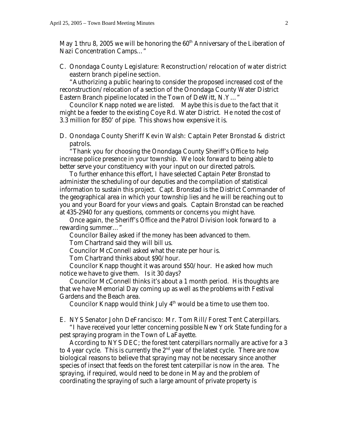May 1 thru 8, 2005 we will be honoring the  $60<sup>th</sup>$  Anniversary of the Liberation of Nazi Concentration Camps…"

# C. Onondaga County Legislature: Reconstruction/relocation of water district eastern branch pipeline section.

 "Authorizing a public hearing to consider the proposed increased cost of the reconstruction/relocation of a section of the Onondaga County Water District Eastern Branch pipeline located in the Town of DeWitt, N.Y…"

 Councilor Knapp noted we are listed. Maybe this is due to the fact that it might be a feeder to the existing Coye Rd. Water District. He noted the cost of 3.3 million for 850' of pipe. This shows how expensive it is.

## D. Onondaga County Sheriff Kevin Walsh: Captain Peter Bronstad & district patrols.

"Thank you for choosing the Onondaga County Sheriff's Office to help increase police presence in your township. We look forward to being able to better serve your constituency with your input on our directed patrols.

 To further enhance this effort, I have selected Captain Peter Bronstad to administer the scheduling of our deputies and the compilation of statistical information to sustain this project. Capt. Bronstad is the District Commander of the geographical area in which your township lies and he will be reaching out to you and your Board for your views and goals. Captain Bronstad can be reached at 435-2940 for any questions, comments or concerns you might have.

 Once again, the Sheriff's Office and the Patrol Division look forward to a rewarding summer…"

 Councilor Bailey asked if the money has been advanced to them. Tom Chartrand said they will bill us.

Councilor McConnell asked what the rate per hour is.

Tom Chartrand thinks about \$90/hour.

 Councilor Knapp thought it was around \$50/hour. He asked how much notice we have to give them. Is it 30 days?

 Councilor McConnell thinks it's about a 1 month period. His thoughts are that we have Memorial Day coming up as well as the problems with Festival Gardens and the Beach area.

Councilor Knapp would think July  $4<sup>th</sup>$  would be a time to use them too.

#### E. NYS Senator John DeFrancisco: Mr. Tom Rill/Forest Tent Caterpillars.

 "I have received your letter concerning possible New York State funding for a pest spraying program in the Town of LaFayette.

 According to NYS DEC; the forest tent caterpillars normally are active for a 3 to 4 year cycle. This is currently the  $2<sup>nd</sup>$  year of the latest cycle. There are now biological reasons to believe that spraying may not be necessary since another species of insect that feeds on the forest tent caterpillar is now in the area. The spraying, if required, would need to be done in May and the problem of coordinating the spraying of such a large amount of private property is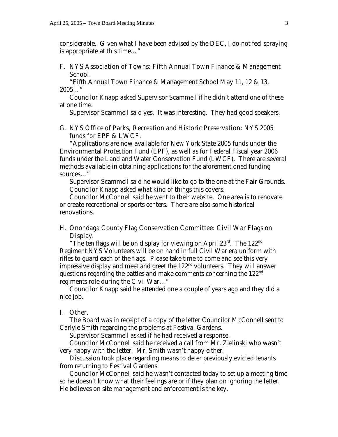considerable. Given what I have been advised by the DEC, I do not feel spraying is appropriate at this time…"

# F. NYS Association of Towns: Fifth Annual Town Finance & Management School.

 "Fifth Annual Town Finance & Management School May 11, 12 & 13, 2005…"

 Councilor Knapp asked Supervisor Scammell if he didn't attend one of these at one time.

Supervisor Scammell said yes. It was interesting. They had good speakers.

# G. NYS Office of Parks, Recreation and Historic Preservation: NYS 2005 funds for EPF & LWCF.

 "Applications are now available for New York State 2005 funds under the Environmental Protection Fund (EPF), as well as for Federal Fiscal year 2006 funds under the Land and Water Conservation Fund (LWCF). There are several methods available in obtaining applications for the aforementioned funding sources…"

 Supervisor Scammell said he would like to go to the one at the Fair Grounds. Councilor Knapp asked what kind of things this covers.

 Councilor McConnell said he went to their website. One area is to renovate or create recreational or sports centers. There are also some historical renovations.

# H. Onondaga County Flag Conservation Committee: Civil War Flags on Display.

"The ten flags will be on display for viewing on April  $23^{rd}$ . The  $122^{nd}$ Regiment NYS Volunteers will be on hand in full Civil War era uniform with rifles to guard each of the flags. Please take time to come and see this very impressive display and meet and greet the 122<sup>nd</sup> volunteers. They will answer questions regarding the battles and make comments concerning the 122nd regiments role during the Civil War…"

 Councilor Knapp said he attended one a couple of years ago and they did a nice job.

#### I. Other.

 The Board was in receipt of a copy of the letter Councilor McConnell sent to Carlyle Smith regarding the problems at Festival Gardens.

Supervisor Scammell asked if he had received a response.

 Councilor McConnell said he received a call from Mr. Zielinski who wasn't very happy with the letter. Mr. Smith wasn't happy either.

 Discussion took place regarding means to deter previously evicted tenants from returning to Festival Gardens.

 Councilor McConnell said he wasn't contacted today to set up a meeting time so he doesn't know what their feelings are or if they plan on ignoring the letter. He believes on site management and enforcement is the key.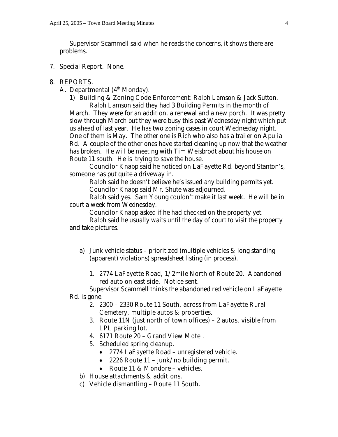Supervisor Scammell said when he reads the concerns, it shows there are problems.

7. Special Report. None.

#### 8. REPORTS.

A. Departmental (4<sup>th</sup> Monday).

1) Building & Zoning Code Enforcement: Ralph Lamson & Jack Sutton. Ralph Lamson said they had 3 Building Permits in the month of March. They were for an addition, a renewal and a new porch. It was pretty slow through March but they were busy this past Wednesday night which put us ahead of last year. He has two zoning cases in court Wednesday night. One of them is May. The other one is Rich who also has a trailer on Apulia Rd. A couple of the other ones have started cleaning up now that the weather has broken. He will be meeting with Tim Weisbrodt about his house on Route 11 south. He is trying to save the house.

 Councilor Knapp said he noticed on LaFayette Rd. beyond Stanton's, someone has put quite a driveway in.

 Ralph said he doesn't believe he's issued any building permits yet. Councilor Knapp said Mr. Shute was adjourned.

 Ralph said yes. Sam Young couldn't make it last week. He will be in court a week from Wednesday.

Councilor Knapp asked if he had checked on the property yet.

 Ralph said he usually waits until the day of court to visit the property and take pictures.

- a) Junk vehicle status prioritized (multiple vehicles & long standing (apparent) violations) spreadsheet listing (in process).
	- 1. 2774 LaFayette Road, 1/2mile North of Route 20. Abandoned red auto on east side. Notice sent.

 Supervisor Scammell thinks the abandoned red vehicle on LaFayette Rd. is gone.

- 2. 2300 2330 Route 11 South, across from LaFayette Rural Cemetery, multiple autos & properties.
- 3. Route 11N (just north of town offices) 2 autos, visible from LPL parking lot.
- 4. 6171 Route 20 Grand View Motel.
- 5. Scheduled spring cleanup.
	- 2774 LaFayette Road unregistered vehicle.
	- 2226 Route 11 junk/no building permit.
	- Route 11 & Mondore vehicles.
- b) House attachments & additions.
- c) Vehicle dismantling Route 11 South.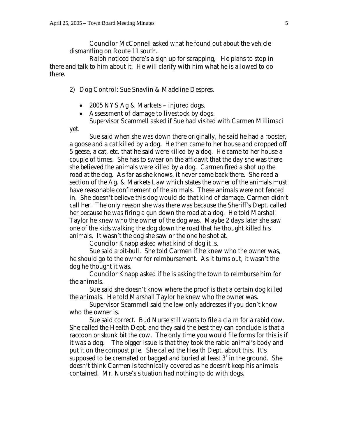yet.

 Councilor McConnell asked what he found out about the vehicle dismantling on Route 11 south.

 Ralph noticed there's a sign up for scrapping, He plans to stop in there and talk to him about it. He will clarify with him what he is allowed to do there.

2) Dog Control: Sue Snavlin & Madeline Despres.

- 2005 NYS Ag & Markets injured dogs.
- Assessment of damage to livestock by dogs.

Supervisor Scammell asked if Sue had visited with Carmen Millimaci

 Sue said when she was down there originally, he said he had a rooster, a goose and a cat killed by a dog. He then came to her house and dropped off 5 geese, a cat, etc. that he said were killed by a dog. He came to her house a couple of times. She has to swear on the affidavit that the day she was there she believed the animals were killed by a dog. Carmen fired a shot up the road at the dog. As far as she knows, it never came back there. She read a section of the Ag. & Markets Law which states the owner of the animals must have reasonable confinement of the animals. These animals were not fenced in. She doesn't believe this dog would do that kind of damage. Carmen didn't call her. The only reason she was there was because the Sheriff's Dept. called her because he was firing a gun down the road at a dog. He told Marshall Taylor he knew who the owner of the dog was. Maybe 2 days later she saw one of the kids walking the dog down the road that he thought killed his animals. It wasn't the dog she saw or the one he shot at.

Councilor Knapp asked what kind of dog it is.

 Sue said a pit-bull. She told Carmen if he knew who the owner was, he should go to the owner for reimbursement. As it turns out, it wasn't the dog he thought it was.

 Councilor Knapp asked if he is asking the town to reimburse him for the animals.

 Sue said she doesn't know where the proof is that a certain dog killed the animals. He told Marshall Taylor he knew who the owner was.

 Supervisor Scammell said the law only addresses if you don't know who the owner is.

 Sue said correct. Bud Nurse still wants to file a claim for a rabid cow. She called the Health Dept. and they said the best they can conclude is that a raccoon or skunk bit the cow. The only time you would file forms for this is if it was a dog. The bigger issue is that they took the rabid animal's body and put it on the compost pile. She called the Health Dept. about this. It's supposed to be cremated or bagged and buried at least 3' in the ground. She doesn't think Carmen is technically covered as he doesn't keep his animals contained. Mr. Nurse's situation had nothing to do with dogs.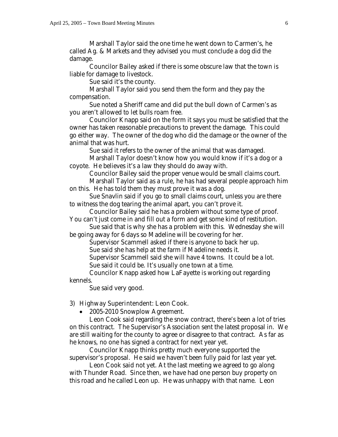Marshall Taylor said the one time he went down to Carmen's, he called Ag. & Markets and they advised you must conclude a dog did the damage.

 Councilor Bailey asked if there is some obscure law that the town is liable for damage to livestock.

Sue said it's the county.

 Marshall Taylor said you send them the form and they pay the compensation.

 Sue noted a Sheriff came and did put the bull down of Carmen's as you aren't allowed to let bulls roam free.

 Councilor Knapp said on the form it says you must be satisfied that the owner has taken reasonable precautions to prevent the damage. This could go either way. The owner of the dog who did the damage or the owner of the animal that was hurt.

Sue said it refers to the owner of the animal that was damaged.

 Marshall Taylor doesn't know how you would know if it's a dog or a coyote. He believes it's a law they should do away with.

Councilor Bailey said the proper venue would be small claims court.

 Marshall Taylor said as a rule, he has had several people approach him on this. He has told them they must prove it was a dog.

 Sue Snavlin said if you go to small claims court, unless you are there to witness the dog tearing the animal apart, you can't prove it.

 Councilor Bailey said he has a problem without some type of proof. You can't just come in and fill out a form and get some kind of restitution.

 Sue said that is why she has a problem with this. Wednesday she will be going away for 6 days so Madeline will be covering for her.

Supervisor Scammell asked if there is anyone to back her up.

Sue said she has help at the farm if Madeline needs it.

Supervisor Scammell said she will have 4 towns. It could be a lot.

Sue said it could be. It's usually one town at a time.

 Councilor Knapp asked how LaFayette is working out regarding kennels.

Sue said very good.

#### 3) Highway Superintendent: Leon Cook.

• 2005-2010 Snowplow Agreement.

 Leon Cook said regarding the snow contract, there's been a lot of tries on this contract. The Supervisor's Association sent the latest proposal in. We are still waiting for the county to agree or disagree to that contract. As far as he knows, no one has signed a contract for next year yet.

 Councilor Knapp thinks pretty much everyone supported the supervisor's proposal. He said we haven't been fully paid for last year yet.

 Leon Cook said not yet. At the last meeting we agreed to go along with Thunder Road. Since then, we have had one person buy property on this road and he called Leon up. He was unhappy with that name. Leon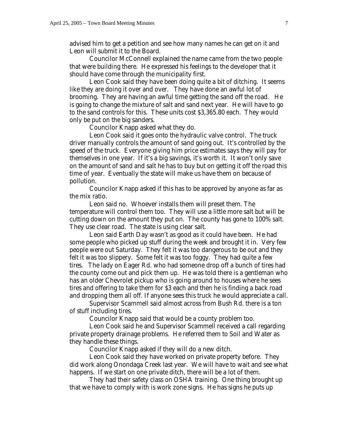advised him to get a petition and see how many names he can get on it and Leon will submit it to the Board.

 Councilor McConnell explained the name came from the two people that were building there. He expressed his feelings to the developer that it should have come through the municipality first.

 Leon Cook said they have been doing quite a bit of ditching. It seems like they are doing it over and over. They have done an awful lot of brooming. They are having an awful time getting the sand off the road. He is going to change the mixture of salt and sand next year. He will have to go to the sand controls for this. These units cost \$3,365.80 each. They would only be put on the big sanders.

Councilor Knapp asked what they do.

 Leon Cook said it goes onto the hydraulic valve control. The truck driver manually controls the amount of sand going out. It's controlled by the speed of the truck. Everyone giving him price estimates says they will pay for themselves in one year. If it's a big savings, it's worth it. It won't only save on the amount of sand and salt he has to buy but on getting it off the road this time of year. Eventually the state will make us have them on because of pollution.

 Councilor Knapp asked if this has to be approved by anyone as far as the mix ratio.

 Leon said no. Whoever installs them will preset them. The temperature will control them too. They will use a little more salt but will be cutting down on the amount they put on. The county has gone to 100% salt. They use clear road. The state is using clear salt.

 Leon said Earth Day wasn't as good as it could have been. He had some people who picked up stuff during the week and brought it in. Very few people were out Saturday. They felt it was too dangerous to be out and they felt it was too slippery. Some felt it was too foggy. They had quite a few tires. The lady on Eager Rd. who had someone drop off a bunch of tires had the county come out and pick them up. He was told there is a gentleman who has an older Chevrolet pickup who is going around to houses where he sees tires and offering to take them for \$3 each and then he is finding a back road and dropping them all off. If anyone sees this truck he would appreciate a call.

 Supervisor Scammell said almost across from Bush Rd. there is a ton of stuff including tires.

Councilor Knapp said that would be a county problem too.

 Leon Cook said he and Supervisor Scammell received a call regarding private property drainage problems. He referred them to Soil and Water as they handle these things.

Councilor Knapp asked if they will do a new ditch.

 Leon Cook said they have worked on private property before. They did work along Onondaga Creek last year. We will have to wait and see what happens. If we start on one private ditch, there will be a lot of them.

 They had their safety class on OSHA training. One thing brought up that we have to comply with is work zone signs. He has signs he puts up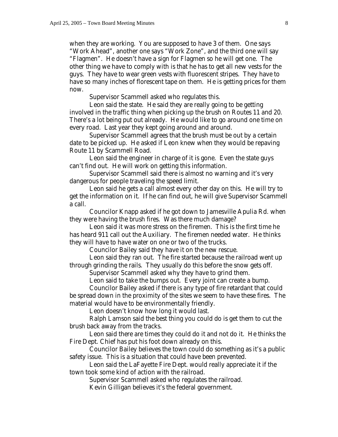when they are working. You are supposed to have 3 of them. One says "Work Ahead", another one says "Work Zone", and the third one will say "Flagmen". He doesn't have a sign for Flagmen so he will get one. The other thing we have to comply with is that he has to get all new vests for the guys. They have to wear green vests with fluorescent stripes. They have to have so many inches of florescent tape on them. He is getting prices for them now.

Supervisor Scammell asked who regulates this.

 Leon said the state. He said they are really going to be getting involved in the traffic thing when picking up the brush on Routes 11 and 20. There's a lot being put out already. He would like to go around one time on every road. Last year they kept going around and around.

 Supervisor Scammell agrees that the brush must be out by a certain date to be picked up. He asked if Leon knew when they would be repaving Route 11 by Scammell Road.

 Leon said the engineer in charge of it is gone. Even the state guys can't find out. He will work on getting this information.

 Supervisor Scammell said there is almost no warning and it's very dangerous for people traveling the speed limit.

 Leon said he gets a call almost every other day on this. He will try to get the information on it. If he can find out, he will give Supervisor Scammell a call.

 Councilor Knapp asked if he got down to Jamesville Apulia Rd. when they were having the brush fires. Was there much damage?

 Leon said it was more stress on the firemen. This is the first time he has heard 911 call out the Auxiliary. The firemen needed water. He thinks they will have to have water on one or two of the trucks.

Councilor Bailey said they have it on the new rescue.

 Leon said they ran out. The fire started because the railroad went up through grinding the rails. They usually do this before the snow gets off.

Supervisor Scammell asked why they have to grind them.

Leon said to take the bumps out. Every joint can create a bump.

 Councilor Bailey asked if there is any type of fire retardant that could be spread down in the proximity of the sites we seem to have these fires. The material would have to be environmentally friendly.

Leon doesn't know how long it would last.

 Ralph Lamson said the best thing you could do is get them to cut the brush back away from the tracks.

 Leon said there are times they could do it and not do it. He thinks the Fire Dept. Chief has put his foot down already on this.

 Councilor Bailey believes the town could do something as it's a public safety issue. This is a situation that could have been prevented.

 Leon said the LaFayette Fire Dept. would really appreciate it if the town took some kind of action with the railroad.

Supervisor Scammell asked who regulates the railroad.

Kevin Gilligan believes it's the federal government.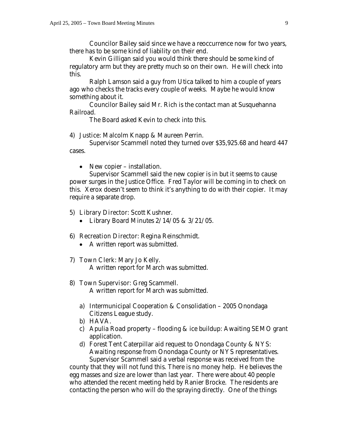Councilor Bailey said since we have a reoccurrence now for two years, there has to be some kind of liability on their end.

 Kevin Gilligan said you would think there should be some kind of regulatory arm but they are pretty much so on their own. He will check into this.

 Ralph Lamson said a guy from Utica talked to him a couple of years ago who checks the tracks every couple of weeks. Maybe he would know something about it.

 Councilor Bailey said Mr. Rich is the contact man at Susquehanna Railroad.

The Board asked Kevin to check into this.

#### 4) Justice: Malcolm Knapp & Maureen Perrin.

Supervisor Scammell noted they turned over \$35,925.68 and heard 447 cases.

• New copier – installation.

 Supervisor Scammell said the new copier is in but it seems to cause power surges in the Justice Office. Fred Taylor will be coming in to check on this. Xerox doesn't seem to think it's anything to do with their copier. It may require a separate drop.

#### 5) Library Director: Scott Kushner.

• Library Board Minutes  $2/14/05 \& 3/21/05$ .

#### 6) Recreation Director: Regina Reinschmidt.

• A written report was submitted.

#### 7) Town Clerk: Mary Jo Kelly.

A written report for March was submitted.

#### 8) Town Supervisor: Greg Scammell.

A written report for March was submitted.

- a) Intermunicipal Cooperation & Consolidation 2005 Onondaga Citizens League study.
- b) HAVA.
- c) Apulia Road property flooding & ice buildup: Awaiting SEMO grant application.
- d) Forest Tent Caterpillar aid request to Onondaga County & NYS: Awaiting response from Onondaga County or NYS representatives. Supervisor Scammell said a verbal response was received from the

county that they will not fund this. There is no money help. He believes the egg masses and size are lower than last year. There were about 40 people who attended the recent meeting held by Ranier Brocke. The residents are contacting the person who will do the spraying directly. One of the things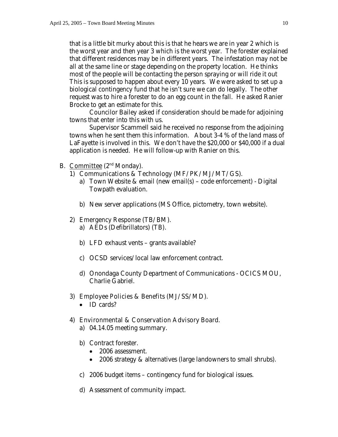that is a little bit murky about this is that he hears we are in year 2 which is the worst year and then year 3 which is the worst year. The forester explained that different residences may be in different years. The infestation may not be all at the same line or stage depending on the property location. He thinks most of the people will be contacting the person spraying or will ride it out This is supposed to happen about every 10 years. We were asked to set up a biological contingency fund that he isn't sure we can do legally. The other request was to hire a forester to do an egg count in the fall. He asked Ranier Brocke to get an estimate for this.

 Councilor Bailey asked if consideration should be made for adjoining towns that enter into this with us.

 Supervisor Scammell said he received no response from the adjoining towns when he sent them this information. About 3-4 % of the land mass of LaFayette is involved in this. We don't have the \$20,000 or \$40,000 if a dual application is needed. He will follow-up with Ranier on this.

- B. **Committee**  $(2^{nd}$  Monday).
	- 1) Communications & Technology (MF/PK/MJ/MT/GS).
		- a) Town Website & email (new email(s) code enforcement) Digital Towpath evaluation.
		- b) New server applications (MS Office, pictometry, town website).

#### 2) Emergency Response (TB/BM).

- a) AEDs (Defibrillators) (TB).
- b) LFD exhaust vents grants available?
- c) OCSD services/local law enforcement contract.
- d) Onondaga County Department of Communications OCICS MOU, Charlie Gabriel.

#### 3) Employee Policies & Benefits (MJ/SS/MD).

• **ID** cards?

#### 4) Environmental & Conservation Advisory Board.

- a) 04.14.05 meeting summary.
- b) Contract forester.
	- 2006 assessment.
	- 2006 strategy & alternatives (large landowners to small shrubs).
- c) 2006 budget items contingency fund for biological issues.
- d) Assessment of community impact.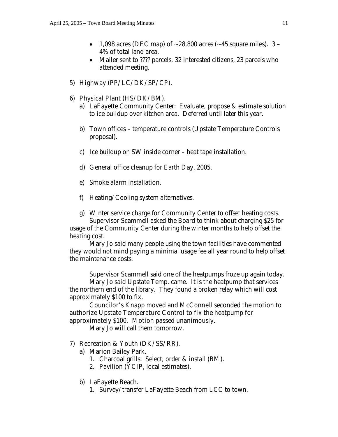- 1,098 acres (DEC map) of  $\sim$  28,800 acres ( $\sim$  45 square miles). 3 4% of total land area.
- Mailer sent to ???? parcels, 32 interested citizens, 23 parcels who attended meeting.
- 5) Highway (PP/LC/DK/SP/CP).
- 6) Physical Plant (HS/DK/BM).
	- a) LaFayette Community Center: Evaluate, propose & estimate solution to ice buildup over kitchen area. Deferred until later this year.
	- b) Town offices temperature controls (Upstate Temperature Controls proposal).
	- c) Ice buildup on SW inside corner heat tape installation.
	- d) General office cleanup for Earth Day, 2005.
	- e) Smoke alarm installation.
	- f) Heating/Cooling system alternatives.
	- g) Winter service charge for Community Center to offset heating costs.

 Supervisor Scammell asked the Board to think about charging \$25 for usage of the Community Center during the winter months to help offset the heating cost.

 Mary Jo said many people using the town facilities have commented they would not mind paying a minimal usage fee all year round to help offset the maintenance costs.

Supervisor Scammell said one of the heatpumps froze up again today.

 Mary Jo said Upstate Temp. came. It is the heatpump that services the northern end of the library. They found a broken relay which will cost approximately \$100 to fix.

Councilor's Knapp moved and McConnell seconded the motion to authorize Upstate Temperature Control to fix the heatpump for approximately \$100. Motion passed unanimously.

Mary Jo will call them tomorrow.

# 7) Recreation & Youth (DK/SS/RR).

- a) Marion Bailey Park.
	- 1. Charcoal grills. Select, order & install (BM).
	- 2. Pavilion (YCIP, local estimates).
- b) LaFayette Beach.
	- 1. Survey/transfer LaFayette Beach from LCC to town.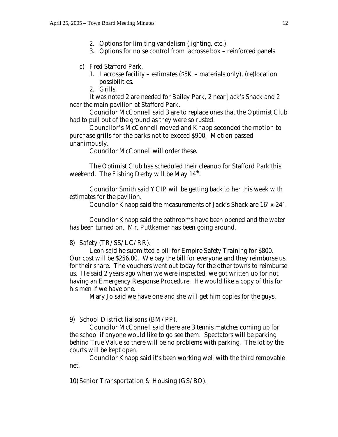- 2. Options for limiting vandalism (lighting, etc.).
- 3. Options for noise control from lacrosse box reinforced panels.

#### c) Fred Stafford Park.

1. Lacrosse facility – estimates (\$5K – materials only), (re)location possibilities.

2. Grills.

 It was noted 2 are needed for Bailey Park, 2 near Jack's Shack and 2 near the main pavilion at Stafford Park.

 Councilor McConnell said 3 are to replace ones that the Optimist Club had to pull out of the ground as they were so rusted.

# Councilor's McConnell moved and Knapp seconded the motion to purchase grills for the parks not to exceed \$900. Motion passed unanimously.

Councilor McConnell will order these.

 The Optimist Club has scheduled their cleanup for Stafford Park this weekend. The Fishing Derby will be May  $14<sup>th</sup>$ .

 Councilor Smith said YCIP will be getting back to her this week with estimates for the pavilion.

Councilor Knapp said the measurements of Jack's Shack are 16' x 24'.

 Councilor Knapp said the bathrooms have been opened and the water has been turned on. Mr. Puttkamer has been going around.

#### 8) Safety (TR/SS/LC/RR).

 Leon said he submitted a bill for Empire Safety Training for \$800. Our cost will be \$256.00. We pay the bill for everyone and they reimburse us for their share. The vouchers went out today for the other towns to reimburse us. He said 2 years ago when we were inspected, we got written up for not having an Emergency Response Procedure. He would like a copy of this for his men if we have one.

Mary Jo said we have one and she will get him copies for the guys.

#### 9) School District liaisons (BM/PP).

 Councilor McConnell said there are 3 tennis matches coming up for the school if anyone would like to go see them. Spectators will be parking behind True Value so there will be no problems with parking. The lot by the courts will be kept open.

 Councilor Knapp said it's been working well with the third removable net.

### 10) Senior Transportation & Housing (GS/BO).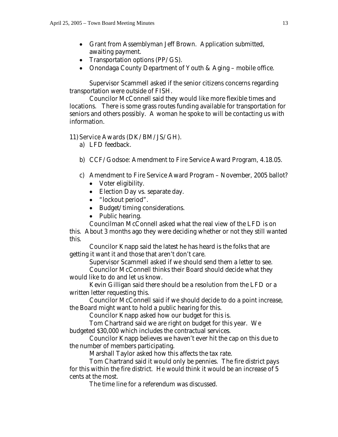- Grant from Assemblyman Jeff Brown. Application submitted, awaiting payment.
- Transportation options (PP/GS).
- Onondaga County Department of Youth & Aging mobile office.

 Supervisor Scammell asked if the senior citizens concerns regarding transportation were outside of FISH.

 Councilor McConnell said they would like more flexible times and locations. There is some grass routes funding available for transportation for seniors and others possibly. A woman he spoke to will be contacting us with information.

#### 11) Service Awards (DK/BM/JS/GH).

- a) LFD feedback.
- b) CCF/Godsoe: Amendment to Fire Service Award Program, 4.18.05.
- c) Amendment to Fire Service Award Program November, 2005 ballot?
	- Voter eligibility.
	- Election Day vs. separate day.
	- "lockout period".
	- Budget/timing considerations.
	- Public hearing.

 Councilman McConnell asked what the real view of the LFD is on this. About 3 months ago they were deciding whether or not they still wanted this.

 Councilor Knapp said the latest he has heard is the folks that are getting it want it and those that aren't don't care.

 Supervisor Scammell asked if we should send them a letter to see. Councilor McConnell thinks their Board should decide what they

would like to do and let us know.

 Kevin Gilligan said there should be a resolution from the LFD or a written letter requesting this.

 Councilor McConnell said if we should decide to do a point increase, the Board might want to hold a public hearing for this.

Councilor Knapp asked how our budget for this is.

 Tom Chartrand said we are right on budget for this year. We budgeted \$30,000 which includes the contractual services.

 Councilor Knapp believes we haven't ever hit the cap on this due to the number of members participating.

Marshall Taylor asked how this affects the tax rate.

 Tom Chartrand said it would only be pennies. The fire district pays for this within the fire district. He would think it would be an increase of 5 cents at the most.

The time line for a referendum was discussed.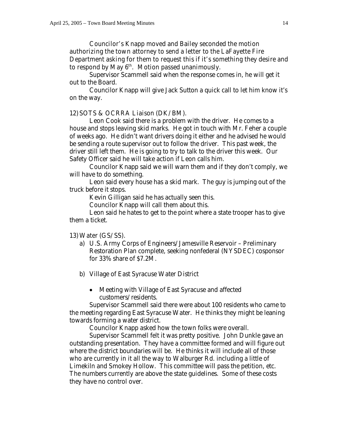Councilor's Knapp moved and Bailey seconded the motion authorizing the town attorney to send a letter to the LaFayette Fire Department asking for them to request this if it's something they desire and to respond by May  $6<sup>th</sup>$ . Motion passed unanimously.

 Supervisor Scammell said when the response comes in, he will get it out to the Board.

 Councilor Knapp will give Jack Sutton a quick call to let him know it's on the way.

#### 12) SOTS & OCRRA Liaison (DK/BM).

 Leon Cook said there is a problem with the driver. He comes to a house and stops leaving skid marks. He got in touch with Mr. Feher a couple of weeks ago. He didn't want drivers doing it either and he advised he would be sending a route supervisor out to follow the driver. This past week, the driver still left them. He is going to try to talk to the driver this week. Our Safety Officer said he will take action if Leon calls him.

 Councilor Knapp said we will warn them and if they don't comply, we will have to do something.

 Leon said every house has a skid mark. The guy is jumping out of the truck before it stops.

Kevin Gilligan said he has actually seen this.

Councilor Knapp will call them about this.

 Leon said he hates to get to the point where a state trooper has to give them a ticket.

#### 13)Water (GS/SS).

- a) U.S. Army Corps of Engineers/Jamesville Reservoir Preliminary Restoration Plan complete, seeking nonfederal (NYSDEC) cosponsor for 33% share of \$7.2M.
- b) Village of East Syracuse Water District
	- Meeting with Village of East Syracuse and affected customers/residents.

 Supervisor Scammell said there were about 100 residents who came to the meeting regarding East Syracuse Water. He thinks they might be leaning towards forming a water district.

Councilor Knapp asked how the town folks were overall.

 Supervisor Scammell felt it was pretty positive. John Dunkle gave an outstanding presentation. They have a committee formed and will figure out where the district boundaries will be. He thinks it will include all of those who are currently in it all the way to Walburger Rd. including a little of Limekiln and Smokey Hollow. This committee will pass the petition, etc. The numbers currently are above the state guidelines. Some of these costs they have no control over.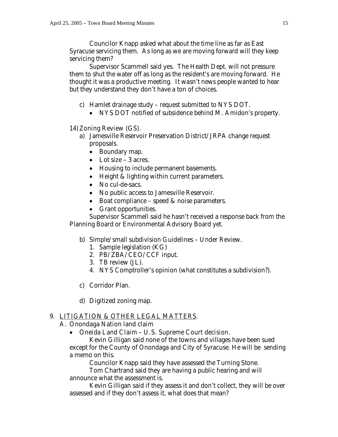Councilor Knapp asked what about the time line as far as East Syracuse servicing them. As long as we are moving forward will they keep servicing them?

 Supervisor Scammell said yes. The Health Dept. will not pressure them to shut the water off as long as the resident's are moving forward. He thought it was a productive meeting. It wasn't news people wanted to hear but they understand they don't have a ton of choices.

- c) Hamlet drainage study request submitted to NYS DOT.
	- NYS DOT notified of subsidence behind M. Amidon's property.

# 14)Zoning Review (GS).

- a) Jamesville Reservoir Preservation District/JRPA change request proposals.
	- Boundary map.
	- Lot size 3 acres.
	- Housing to include permanent basements.
	- Height & lighting within current parameters.
	- No cul-de-sacs.
	- No public access to Jamesville Reservoir.
	- Boat compliance speed & noise parameters.
	- Grant opportunities.

 Supervisor Scammell said he hasn't received a response back from the Planning Board or Environmental Advisory Board yet.

- b) Simple/small subdivision Guidelines Under Review.
	- 1. Sample legislation (KG)
	- 2. PB/ZBA/CEO/CCF input.
	- 3. TB review (JL).
	- 4. NYS Comptroller's opinion (what constitutes a subdivision?).
- c) Corridor Plan.
- d) Digitized zoning map.

# 9. LITIGATION & OTHER LEGAL MATTERS.

# A. Onondaga Nation land claim

• Oneida Land Claim – U.S. Supreme Court decision.

 Kevin Gilligan said none of the towns and villages have been sued except for the County of Onondaga and City of Syracuse. He will be sending a memo on this.

Councilor Knapp said they have assessed the Turning Stone.

 Tom Chartrand said they are having a public hearing and will announce what the assessment is.

 Kevin Gilligan said if they assess it and don't collect, they will be over assessed and if they don't assess it, what does that mean?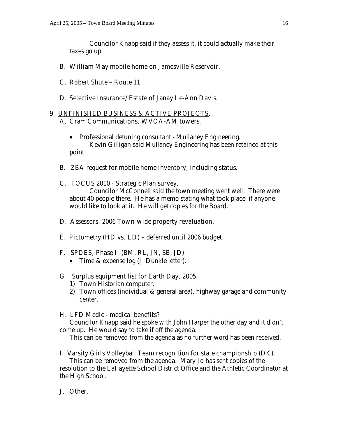Councilor Knapp said if they assess it, it could actually make their taxes go up.

# B. William May mobile home on Jamesville Reservoir.

- C. Robert Shute Route 11.
- D. Selective Insurance/Estate of Janay Le-Ann Davis.

# 9. UNFINISHED BUSINESS & ACTIVE PROJECTS.

# A. Cram Communications, WVOA-AM towers.

- Professional detuning consultant Mullaney Engineering. Kevin Gilligan said Mullaney Engineering has been retained at this point.
- B. ZBA request for mobile home inventory, including status.

# C. FOCUS 2010 - Strategic Plan survey.

 Councilor McConnell said the town meeting went well. There were about 40 people there. He has a memo stating what took place if anyone would like to look at it. He will get copies for the Board.

# D. Assessors: 2006 Town-wide property revaluation.

# E. Pictometry (HD vs. LD) – deferred until 2006 budget.

# F. SPDES, Phase II (BM, RL, JN, SB, JD).

• Time & expense log (J. Dunkle letter).

# G. Surplus equipment list for Earth Day, 2005.

- 1) Town Historian computer.
- 2) Town offices (individual & general area), highway garage and community center.

# H. LFD Medic - medical benefits?

 Councilor Knapp said he spoke with John Harper the other day and it didn't come up. He would say to take if off the agenda.

This can be removed from the agenda as no further word has been received.

# I. Varsity Girls Volleyball Team recognition for state championship (DK).

 This can be removed from the agenda. Mary Jo has sent copies of the resolution to the LaFayette School District Office and the Athletic Coordinator at the High School.

# J. Other.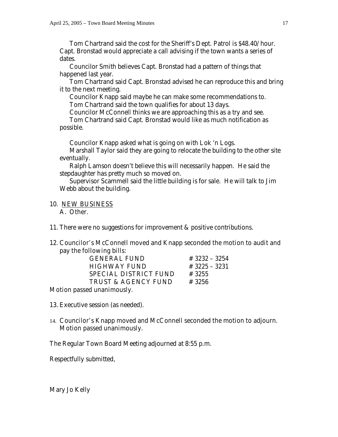Tom Chartrand said the cost for the Sheriff's Dept. Patrol is \$48.40/hour. Capt. Bronstad would appreciate a call advising if the town wants a series of dates.

 Councilor Smith believes Capt. Bronstad had a pattern of things that happened last year.

 Tom Chartrand said Capt. Bronstad advised he can reproduce this and bring it to the next meeting.

 Councilor Knapp said maybe he can make some recommendations to. Tom Chartrand said the town qualifies for about 13 days.

Councilor McConnell thinks we are approaching this as a try and see.

 Tom Chartrand said Capt. Bronstad would like as much notification as possible.

Councilor Knapp asked what is going on with Lok 'n Logs.

 Marshall Taylor said they are going to relocate the building to the other site eventually.

 Ralph Lamson doesn't believe this will necessarily happen. He said the stepdaughter has pretty much so moved on.

 Supervisor Scammell said the little building is for sale. He will talk to Jim Webb about the building.

#### 10. NEW BUSINESS A. Other.

11. There were no suggestions for improvement & positive contributions.

# 12. Councilor's McConnell moved and Knapp seconded the motion to audit and pay the following bills:

| <b>GENERAL FUND</b>               | $# 3232 - 3254$ |
|-----------------------------------|-----------------|
| <b>HIGHWAY FUND</b>               | # 3225 - 3231   |
| <b>SPECIAL DISTRICT FUND</b>      | # 3255          |
| <b>TRUST &amp; AGENCY FUND</b>    | # 3256          |
| <b>Motion passed unanimously.</b> |                 |

13. Executive session (as needed).

# 14. Councilor's Knapp moved and McConnell seconded the motion to adjourn.

Motion passed unanimously.

The Regular Town Board Meeting adjourned at 8:55 p.m.

Respectfully submitted,

Mary Jo Kelly